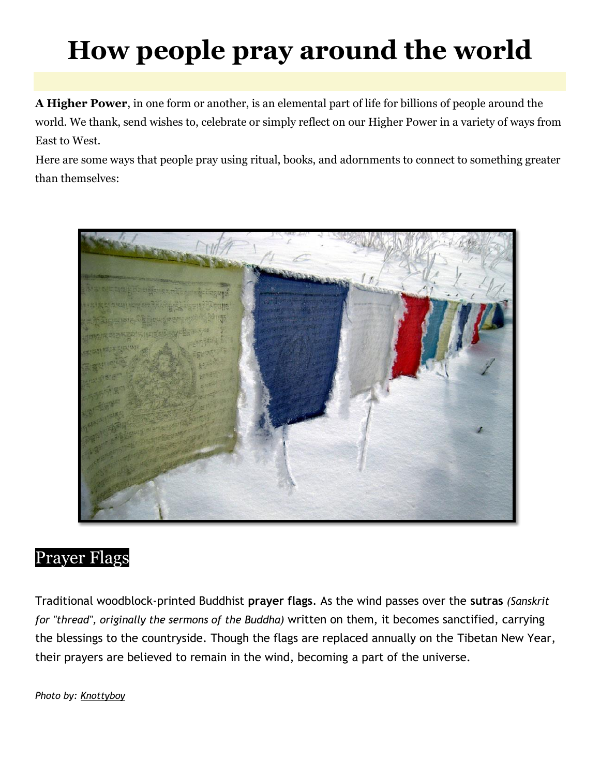# **How people pray around the world**

**A Higher Power**, in one form or another, is an elemental part of life for billions of people around the world. We thank, send wishes to, celebrate or simply reflect on our Higher Power in a variety of ways from East to West.

Here are some ways that people pray using ritual, books, and adornments to connect to something greater than themselves:



#### Prayer Flags

Traditional woodblock-printed Buddhist **prayer flags**. As the wind passes over the **sutras** *(Sanskrit for "thread", originally the sermons of the [Buddha\)](http://buddhism.about.com/od/lifeofthebuddha/a/buddhalife.htm)* written on them, it becomes sanctified, carrying the blessings to the countryside. Though the flags are replaced annually on the [Tibetan New Year,](http://matadornetwork.com/bnt/2009/03/18/50-year-anniversary-of-tibetan-uprising-sparks-protests-bombs/) their prayers are believed to remain in the wind, becoming a part of the universe.

*Photo by: [Knottyboy](http://www.flickr.com/photos/knottyboywayne/3202071076/)*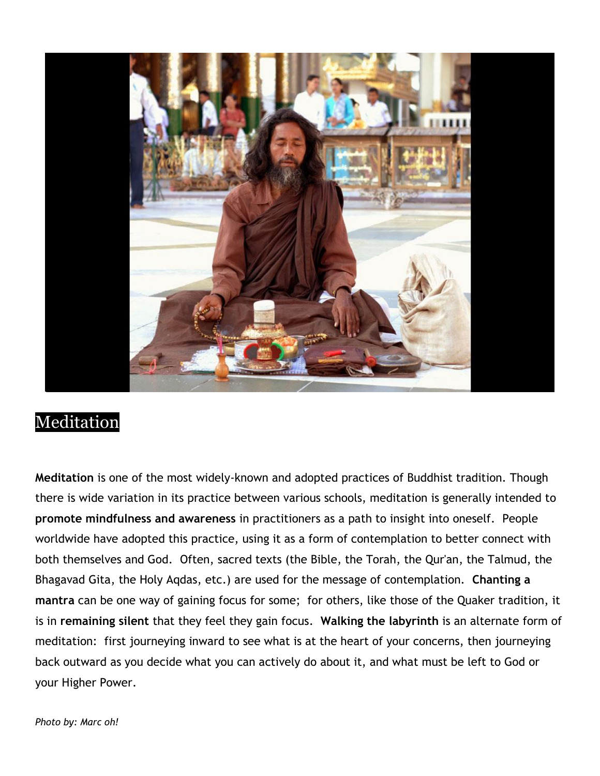

#### Meditation

**Meditation** is one of the most widely-known and adopted practices of Buddhist tradition. Though there is wide variation in its practice between various schools, meditation is generally intended to **promote mindfulness and awareness** in practitioners as a path to insight into oneself. People worldwide have adopted this practice, using it as a form of contemplation to better connect with both themselves and God. Often, sacred texts (the Bible, the Torah, the Qur'an, the Talmud, the Bhagavad Gita, the Holy Aqdas, etc.) are used for the message of contemplation. **Chanting a mantra** can be one way of gaining focus for some; for others, like those of the Quaker tradition, it is in **remaining silent** that they feel they gain focus. **Walking the labyrinth** is an alternate form of meditation: first journeying inward to see what is at the heart of your concerns, then journeying back outward as you decide what you can actively do about it, and what must be left to God or your Higher Power.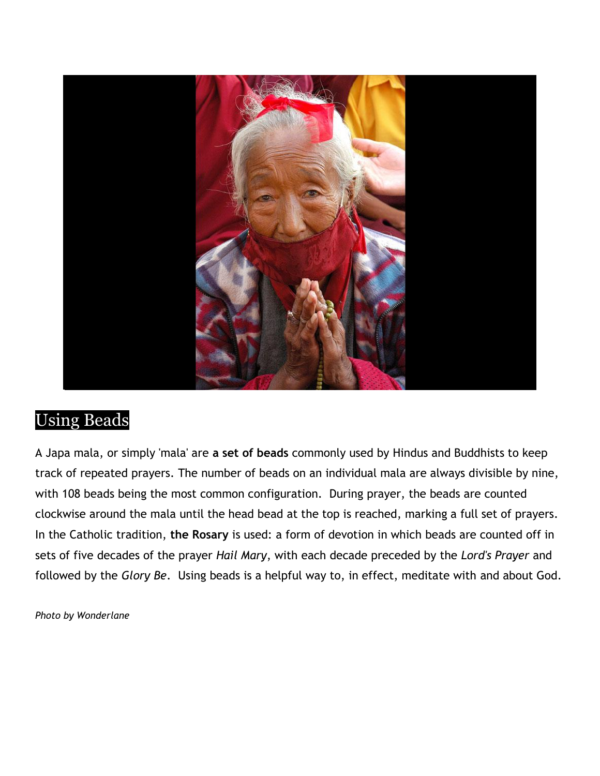

### Using Beads

A Japa mala, or simply 'mala' are **a set of beads** commonly used by Hindus and Buddhists to keep track of repeated prayers. The number of beads on an individual mala are always divisible by nine, with 108 beads being the most common configuration. During prayer, the beads are counted clockwise around the mala until the head bead at the top is reached, marking a full set of prayers. In the Catholic tradition, **the Rosary** is used: a form of devotion in which beads are counted off in sets of five decades of the prayer *Hail Mary*, with each decade preceded by the *Lord's Prayer* and followed by the *Glory Be*. Using beads is a helpful way to, in effect, meditate with and about God.

*Photo by Wonderlane*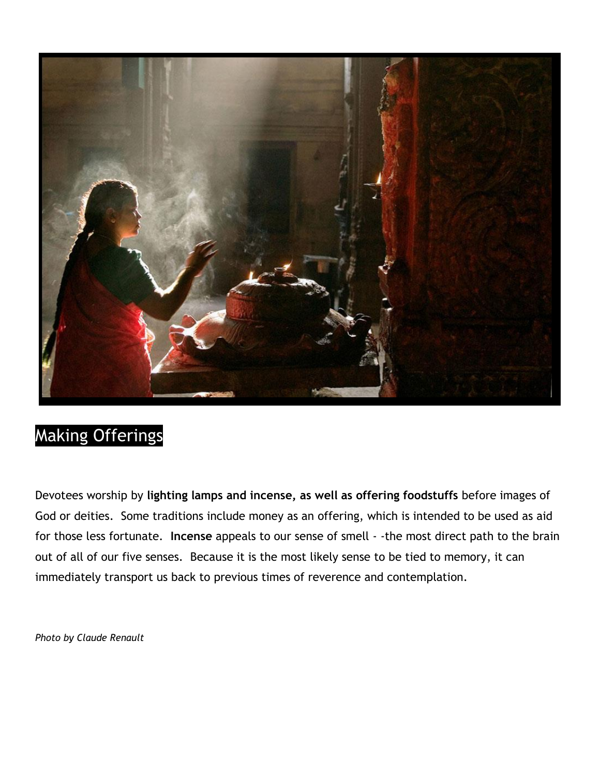

# Making Offerings

Devotees worship by **lighting lamps and incense, as well as offering foodstuffs** before images of God or deities. Some traditions include money as an offering, which is intended to be used as aid for those less fortunate. **Incense** appeals to our sense of smell - -the most direct path to the brain out of all of our five senses. Because it is the most likely sense to be tied to memory, it can immediately transport us back to previous times of reverence and contemplation.

*Photo by Claude Renault*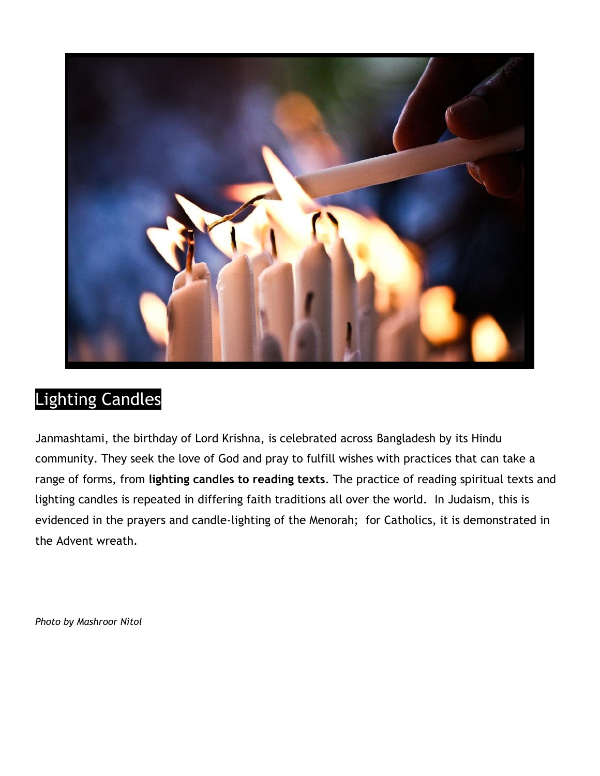

## Lighting Candles

Janmashtami, the birthday of Lord Krishna, is celebrated across Bangladesh by its Hindu community. They seek the love of God and pray to fulfill wishes with practices that can take a range of forms, from **lighting candles to reading texts**. The practice of reading spiritual texts and lighting candles is repeated in differing faith traditions all over the world. In Judaism, this is evidenced in the prayers and candle-lighting of the Menorah; for Catholics, it is demonstrated in the Advent wreath.

*Photo by Mashroor Nitol*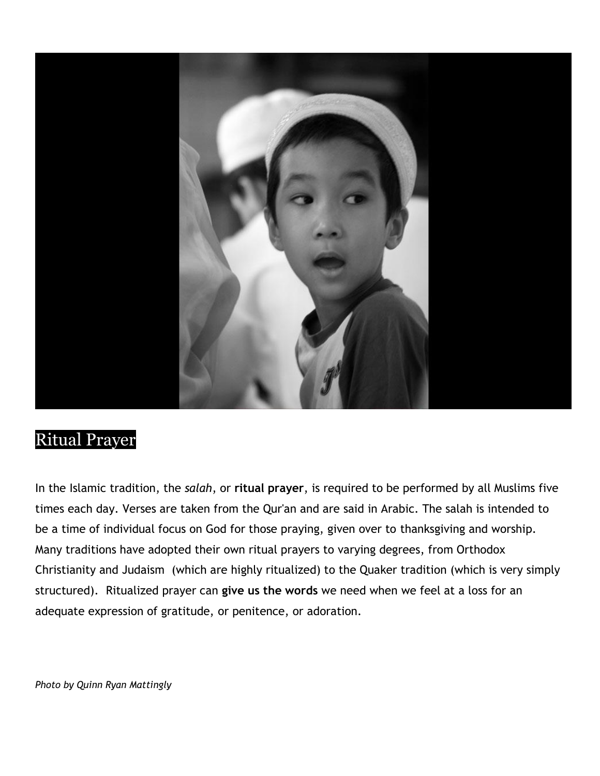

#### Ritual Prayer

In the Islamic tradition, the *salah*, or **ritual prayer**, is required to be performed by all Muslims five times each day. Verses are taken from the Qur'an and are said in Arabic. The salah is intended to be a time of individual focus on God for those praying, given over to thanksgiving and worship. Many traditions have adopted their own ritual prayers to varying degrees, from Orthodox Christianity and Judaism (which are highly ritualized) to the Quaker tradition (which is very simply structured). Ritualized prayer can **give us the words** we need when we feel at a loss for an adequate expression of gratitude, or penitence, or adoration.

*Photo by Quinn Ryan Mattingly*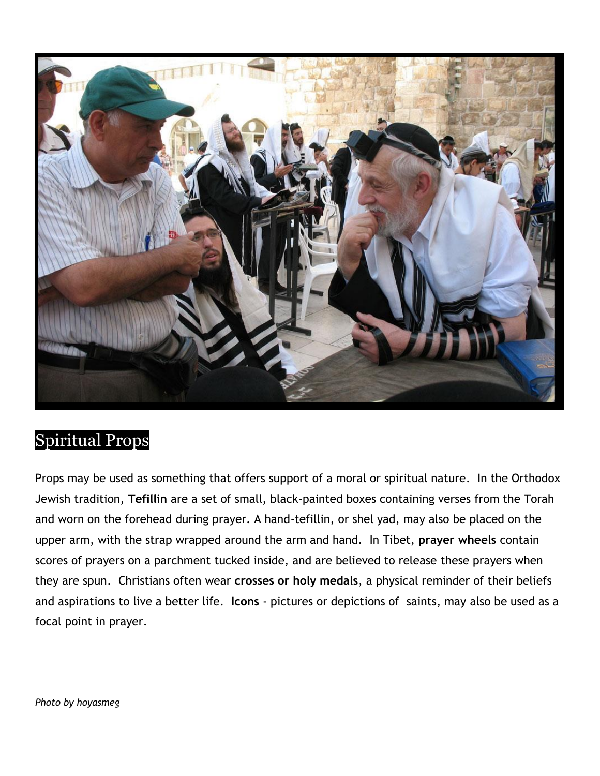

#### Spiritual Props

Props may be used as something that offers support of a moral or spiritual nature. In the Orthodox Jewish tradition, **Tefillin** are a set of small, black-painted boxes containing verses from the Torah and worn on the forehead during prayer. A hand-tefillin, or shel yad, may also be placed on the upper arm, with the strap wrapped around the arm and hand. In Tibet, **prayer wheels** contain scores of prayers on a parchment tucked inside, and are believed to release these prayers when they are spun. Christians often wear **crosses or holy medals**, a physical reminder of their beliefs and aspirations to live a better life. **Icons** - pictures or depictions of saints, may also be used as a focal point in prayer.

*Photo by hoyasmeg*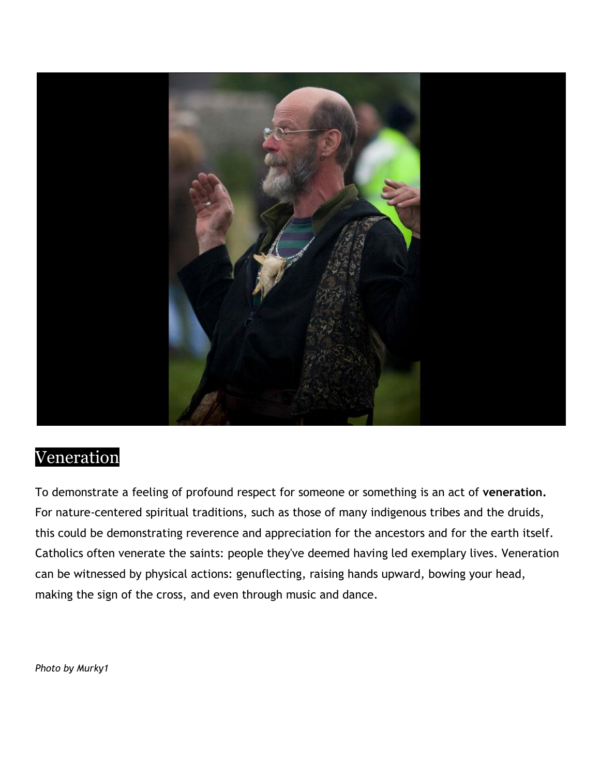

#### Veneration

To demonstrate a feeling of profound respect for someone or something is an act of **veneration.**  For nature-centered spiritual traditions, such as those of many indigenous tribes and the druids, this could be demonstrating reverence and appreciation for the ancestors and for the earth itself. Catholics often venerate the saints: people they've deemed having led exemplary lives. Veneration can be witnessed by physical actions: genuflecting, raising hands upward, bowing your head, making the sign of the cross, and even through music and dance.

*Photo by Murky1*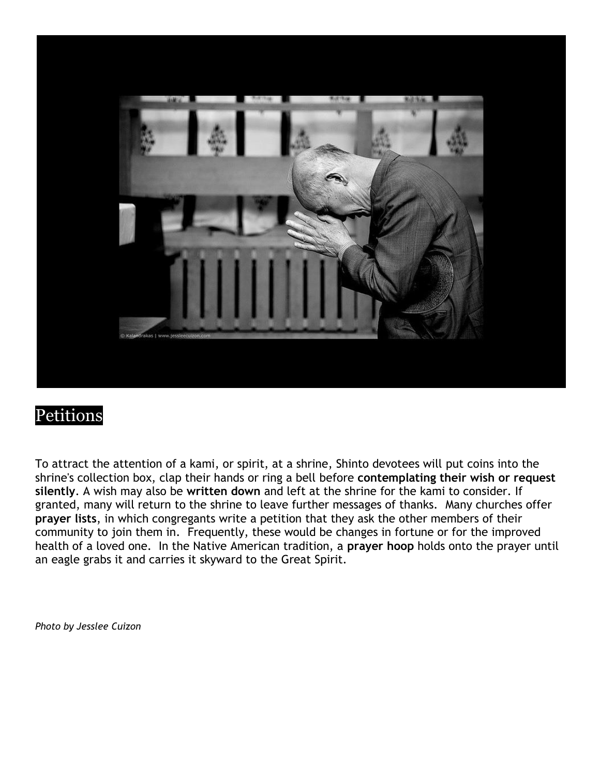

#### Petitions

To attract the attention of a kami, or spirit, at a shrine, Shinto devotees will put coins into the shrine's collection box, clap their hands or ring a bell before **contemplating their wish or request silently**. A wish may also be **written down** and left at the shrine for the kami to consider. If granted, many will return to the shrine to leave further messages of thanks. Many churches offer **prayer lists**, in which congregants write a petition that they ask the other members of their community to join them in. Frequently, these would be changes in fortune or for the improved health of a loved one. In the Native American tradition, a **prayer hoop** holds onto the prayer until an eagle grabs it and carries it skyward to the Great Spirit.

*Photo by Jesslee Cuizon*